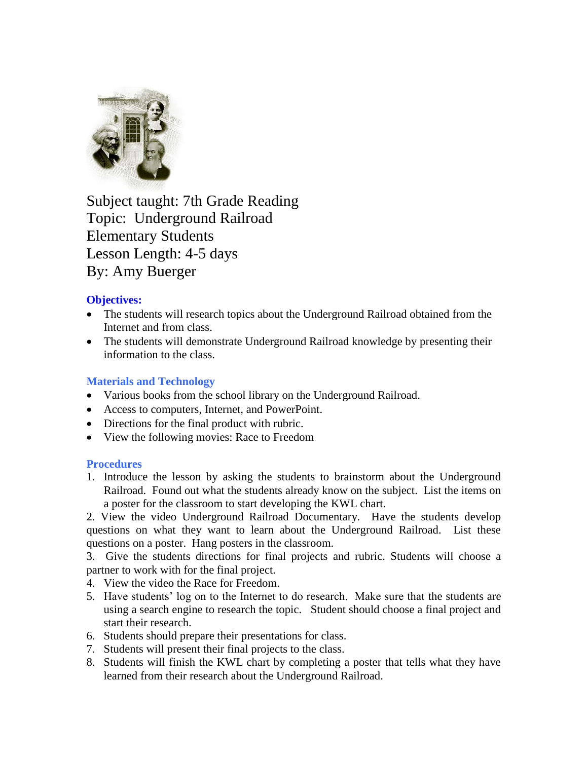

Subject taught: 7th Grade Reading Topic: Underground Railroad Elementary Students Lesson Length: 4-5 days By: Amy Buerger

## **Objectives:**

- The students will research topics about the Underground Railroad obtained from the Internet and from class.
- The students will demonstrate Underground Railroad knowledge by presenting their information to the class.

## **Materials and Technology**

- Various books from the school library on the Underground Railroad.
- Access to computers, Internet, and PowerPoint.
- Directions for the final product with rubric.
- View the following movies: Race to Freedom

### **Procedures**

1. Introduce the lesson by asking the students to brainstorm about the Underground Railroad. Found out what the students already know on the subject. List the items on a poster for the classroom to start developing the KWL chart.

2. View the video Underground Railroad Documentary. Have the students develop questions on what they want to learn about the Underground Railroad. List these questions on a poster. Hang posters in the classroom.

3. Give the students directions for final projects and rubric. Students will choose a partner to work with for the final project.

- 4. View the video the Race for Freedom.
- 5. Have students' log on to the Internet to do research. Make sure that the students are using a search engine to research the topic. Student should choose a final project and start their research.
- 6. Students should prepare their presentations for class.
- 7. Students will present their final projects to the class.
- 8. Students will finish the KWL chart by completing a poster that tells what they have learned from their research about the Underground Railroad.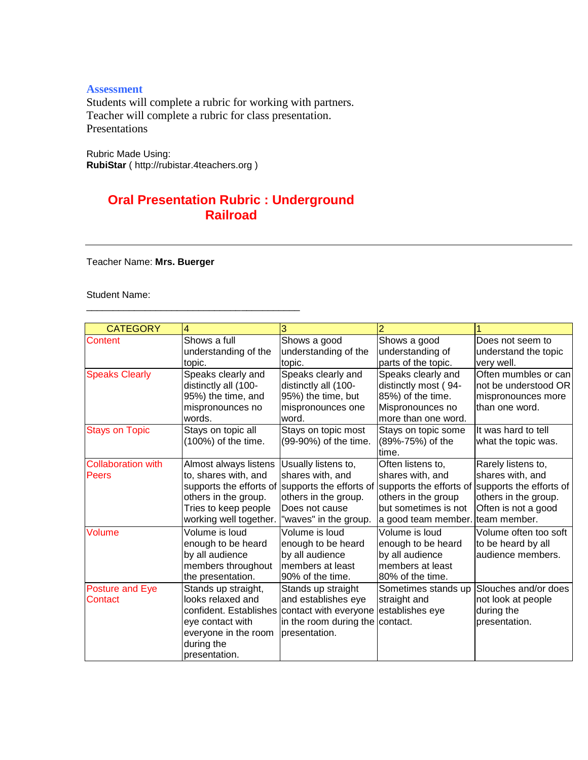#### **Assessment**

Students will complete a rubric for working with partners. Teacher will complete a rubric for class presentation. Presentations

Rubric Made Using: **RubiStar** ( http://rubistar.4teachers.org )

\_\_\_\_\_\_\_\_\_\_\_\_\_\_\_\_\_\_\_\_\_\_\_\_\_\_\_\_\_\_\_\_\_\_\_\_\_\_\_\_

# **Oral Presentation Rubric : Underground Railroad**

Teacher Name: **Mrs. Buerger**

Student Name:

| <b>CATEGORY</b>           | 4                      | 3                                                            | 2                                |                         |
|---------------------------|------------------------|--------------------------------------------------------------|----------------------------------|-------------------------|
| Content                   | Shows a full           | Shows a good                                                 | Shows a good                     | Does not seem to        |
|                           | understanding of the   | understanding of the                                         | understanding of                 | understand the topic    |
|                           | topic.                 | topic.                                                       | parts of the topic.              | very well.              |
| <b>Speaks Clearly</b>     | Speaks clearly and     | Speaks clearly and                                           | Speaks clearly and               | Often mumbles or can    |
|                           | distinctly all (100-   | distinctly all (100-                                         | distinctly most (94-             | not be understood OR    |
|                           | 95%) the time, and     | 95%) the time, but                                           | 85%) of the time.                | mispronounces more      |
|                           | mispronounces no       | mispronounces one                                            | Mispronounces no                 | than one word.          |
|                           | words.                 | word.                                                        | more than one word.              |                         |
| <b>Stays on Topic</b>     | Stays on topic all     | Stays on topic most                                          | Stays on topic some              | It was hard to tell     |
|                           | (100%) of the time.    | (99-90%) of the time.                                        | (89%-75%) of the                 | what the topic was.     |
|                           |                        |                                                              | time.                            |                         |
| <b>Collaboration with</b> | Almost always listens  | Usually listens to,                                          | Often listens to,                | Rarely listens to,      |
| Peers                     | to, shares with, and   | shares with, and                                             | shares with, and                 | shares with, and        |
|                           |                        | supports the efforts of supports the efforts of              | supports the efforts of          | supports the efforts of |
|                           | others in the group.   | others in the group.                                         | others in the group              | others in the group.    |
|                           | Tries to keep people   | Does not cause                                               | but sometimes is not             | Often is not a good     |
|                           | working well together. | "waves" in the group.                                        | a good team member. team member. |                         |
| Volume                    | Volume is loud         | Volume is loud                                               | Volume is loud                   | Volume often too soft   |
|                           | enough to be heard     | enough to be heard                                           | enough to be heard               | to be heard by all      |
|                           | by all audience        | by all audience                                              | by all audience                  | audience members.       |
|                           | members throughout     | members at least                                             | members at least                 |                         |
|                           | the presentation.      | 90% of the time.                                             | 80% of the time.                 |                         |
| <b>Posture and Eye</b>    | Stands up straight,    | Stands up straight                                           | Sometimes stands up              | Slouches and/or does    |
| Contact                   | looks relaxed and      | and establishes eye                                          | straight and                     | not look at people      |
|                           |                        | confident. Establishes contact with everyone establishes eye |                                  | during the              |
|                           | eye contact with       | in the room during the contact.                              |                                  | presentation.           |
|                           | everyone in the room   | presentation.                                                |                                  |                         |
|                           | during the             |                                                              |                                  |                         |
|                           | presentation.          |                                                              |                                  |                         |